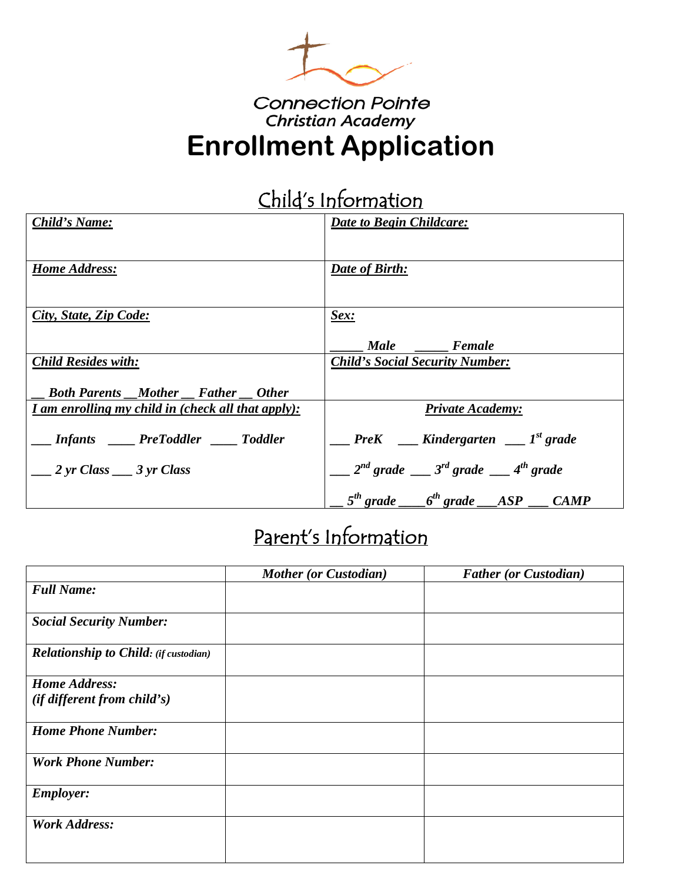

### **Connection Pointe Christian Academy Enrollment Application**

# Child's Information

| Child's Name:                                      | <b>Date to Begin Childcare:</b>                      |
|----------------------------------------------------|------------------------------------------------------|
|                                                    |                                                      |
| <b>Home Address:</b>                               | Date of Birth:                                       |
|                                                    |                                                      |
| City, State, Zip Code:                             | Sex:                                                 |
|                                                    | Male Female                                          |
| <b>Child Resides with:</b>                         | <b>Child's Social Security Number:</b>               |
| <b>_Both Parents __Mother __Father __Other</b>     |                                                      |
| I am enrolling my child in (check all that apply): | <b>Private Academy:</b>                              |
| _Infants ___PreToddler ___Toddler                  |                                                      |
| $\frac{2 \text{ yr Class}}{3 \text{ yr Class}}$    | $2^{nd}$ grade $3^{rd}$ grade $4^{th}$ grade         |
|                                                    | $1.5^{th}$ grade $1.6^{th}$ grade $1.15P$ $1.6$ CAMP |

# Parent's Information

|                                              | <b>Mother (or Custodian)</b> | <b>Father (or Custodian)</b> |
|----------------------------------------------|------------------------------|------------------------------|
| <b>Full Name:</b>                            |                              |                              |
| <b>Social Security Number:</b>               |                              |                              |
| <b>Relationship to Child: (if custodian)</b> |                              |                              |
| <b>Home Address:</b>                         |                              |                              |
| $(if\ different\ from\ child's)$             |                              |                              |
| <b>Home Phone Number:</b>                    |                              |                              |
| <b>Work Phone Number:</b>                    |                              |                              |
| <b>Employer:</b>                             |                              |                              |
| <b>Work Address:</b>                         |                              |                              |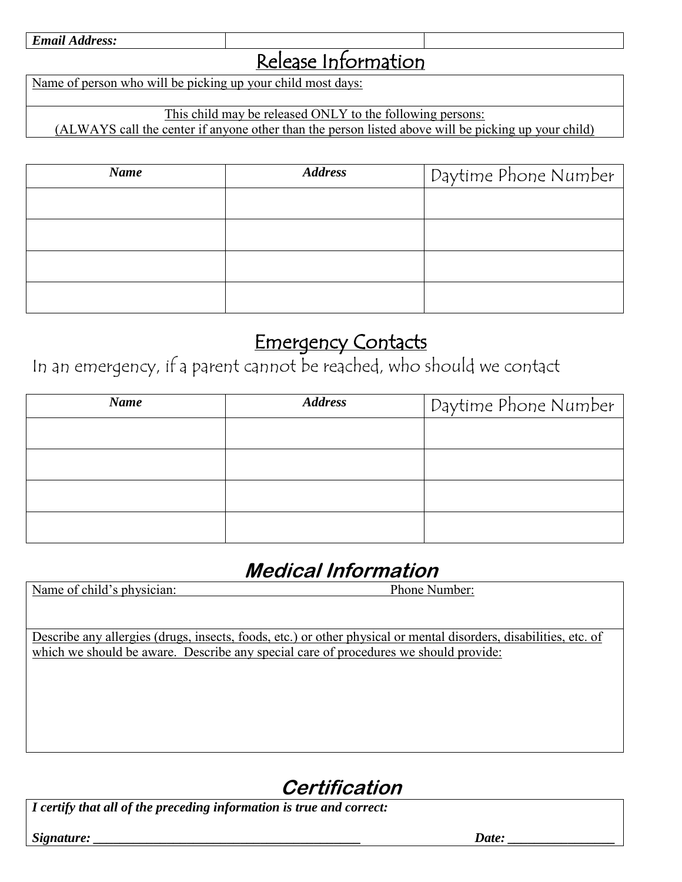## Release Information

Name of person who will be picking up your child most days:

This child may be released ONLY to the following persons:

(ALWAYS call the center if anyone other than the person listed above will be picking up your child)

| <b>Name</b> | <b>Address</b> | Daytime Phone Number |
|-------------|----------------|----------------------|
|             |                |                      |
|             |                |                      |
|             |                |                      |
|             |                |                      |

## Emergency Contacts

In an emergency, if a parent cannot be reached, who should we contact

| Name | <b>Address</b> | Daytime Phone Number |
|------|----------------|----------------------|
|      |                |                      |
|      |                |                      |
|      |                |                      |
|      |                |                      |

## **Medical Information**

| Name of child's physician: | Phone Number: |  |
|----------------------------|---------------|--|
|                            |               |  |

Describe any allergies (drugs, insects, foods, etc.) or other physical or mental disorders, disabilities, etc. of which we should be aware. Describe any special care of procedures we should provide:

## **Certification**

*I certify that all of the preceding information is true and correct:* 

*Signature: \_\_\_\_\_\_\_\_\_\_\_\_\_\_\_\_\_\_\_\_\_\_\_\_\_\_\_\_\_\_\_\_\_\_\_\_\_\_\_\_ Date: \_\_\_\_\_\_\_\_\_\_\_\_\_\_\_\_*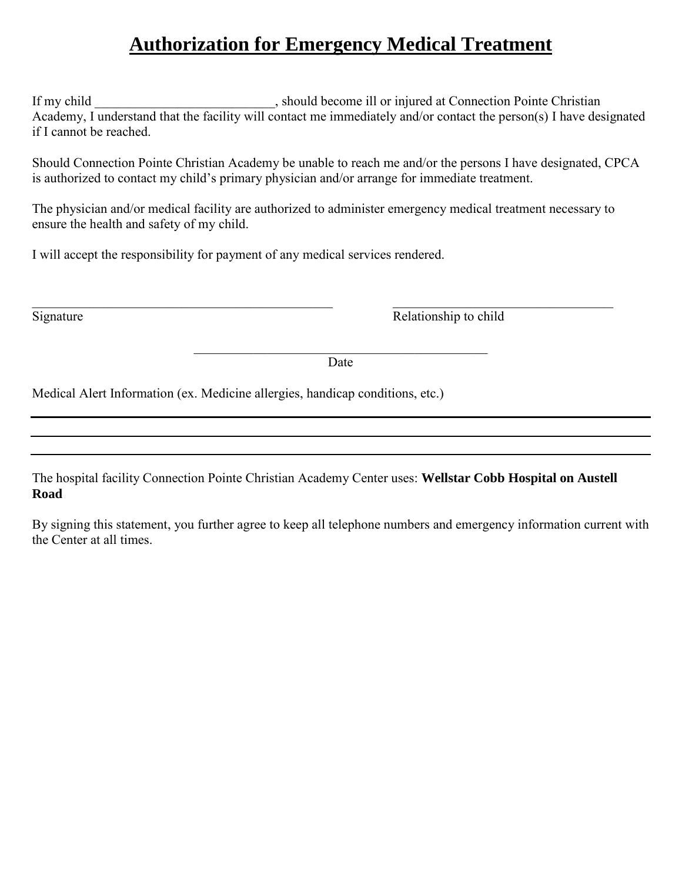### **Authorization for Emergency Medical Treatment**

If my child \_\_\_\_\_\_\_\_\_\_\_\_\_\_\_\_\_\_\_\_\_\_\_\_, should become ill or injured at Connection Pointe Christian Academy, I understand that the facility will contact me immediately and/or contact the person(s) I have designated if I cannot be reached.

Should Connection Pointe Christian Academy be unable to reach me and/or the persons I have designated, CPCA is authorized to contact my child's primary physician and/or arrange for immediate treatment.

The physician and/or medical facility are authorized to administer emergency medical treatment necessary to ensure the health and safety of my child.

I will accept the responsibility for payment of any medical services rendered.

 $\_$  , and the set of the set of the set of the set of the set of the set of the set of the set of the set of the set of the set of the set of the set of the set of the set of the set of the set of the set of the set of th Signature Relationship to child

> \_\_\_\_\_\_\_\_\_\_\_\_\_\_\_\_\_\_\_\_\_\_\_\_\_\_\_\_\_\_\_\_\_\_\_\_\_\_\_\_\_\_\_\_ Date

Medical Alert Information (ex. Medicine allergies, handicap conditions, etc.)

The hospital facility Connection Pointe Christian Academy Center uses: **Wellstar Cobb Hospital on Austell Road** 

By signing this statement, you further agree to keep all telephone numbers and emergency information current with the Center at all times.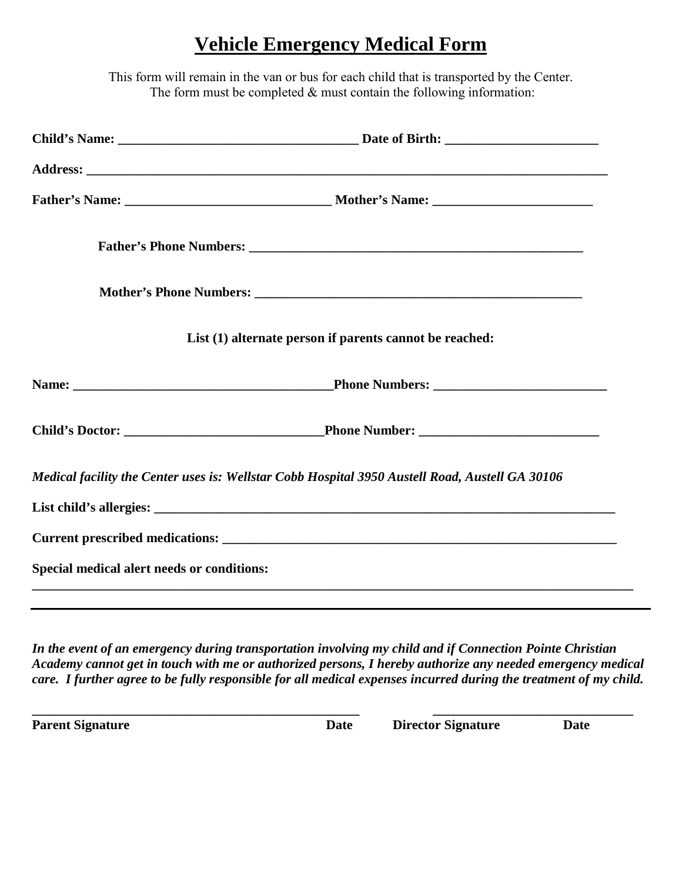#### **Vehicle Emergency Medical Form**

This form will remain in the van or bus for each child that is transported by the Center. The form must be completed  $&$  must contain the following information:

|                                            | List (1) alternate person if parents cannot be reached:                                         |
|--------------------------------------------|-------------------------------------------------------------------------------------------------|
|                                            |                                                                                                 |
|                                            |                                                                                                 |
|                                            | Medical facility the Center uses is: Wellstar Cobb Hospital 3950 Austell Road, Austell GA 30106 |
|                                            |                                                                                                 |
|                                            |                                                                                                 |
| Special medical alert needs or conditions: |                                                                                                 |
|                                            |                                                                                                 |

*In the event of an emergency during transportation involving my child and if Connection Pointe Christian Academy cannot get in touch with me or authorized persons, I hereby authorize any needed emergency medical care. I further agree to be fully responsible for all medical expenses incurred during the treatment of my child.* 

**\_\_\_\_\_\_\_\_\_\_\_\_\_\_\_\_\_\_\_\_\_\_\_\_\_\_\_\_\_\_\_\_\_\_\_\_\_\_\_\_\_\_\_\_\_\_\_\_\_ \_\_\_\_\_\_\_\_\_\_\_\_\_\_\_\_\_\_\_\_\_\_\_\_\_\_\_\_\_\_ Parent Signature Date Director Signature Date Director Signature Date**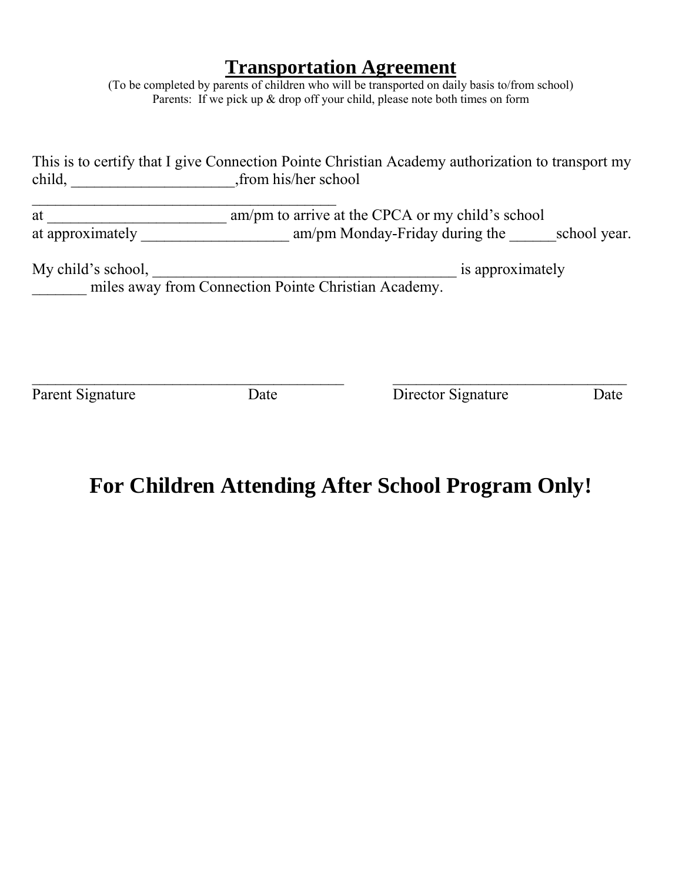#### **Transportation Agreement**

(To be completed by parents of children who will be transported on daily basis to/from school) Parents: If we pick up & drop off your child, please note both times on form

|                  | This is to certify that I give Connection Pointe Christian Academy authorization to transport my |
|------------------|--------------------------------------------------------------------------------------------------|
| child,           | from his/her school                                                                              |
| at               | am/pm to arrive at the CPCA or my child's school                                                 |
| at approximately | am/pm Monday-Friday during the<br>school year.                                                   |
|                  |                                                                                                  |

My child's school, \_\_\_\_\_\_\_\_\_\_\_\_\_\_\_\_\_\_\_\_\_\_\_\_\_\_\_\_\_\_\_\_\_\_\_\_\_\_\_ is approximately <u>\_\_\_\_\_\_</u> miles away from Connection Pointe Christian Academy.

 $\_$  , and the contribution of the contribution of  $\overline{a}$  , and  $\overline{a}$  , and  $\overline{a}$  , and  $\overline{a}$  , and  $\overline{a}$  , and  $\overline{a}$  , and  $\overline{a}$  , and  $\overline{a}$  , and  $\overline{a}$  , and  $\overline{a}$  , and  $\overline{a}$  , and  $\overline{a$ Parent Signature Date Date Director Signature Date

## **For Children Attending After School Program Only!**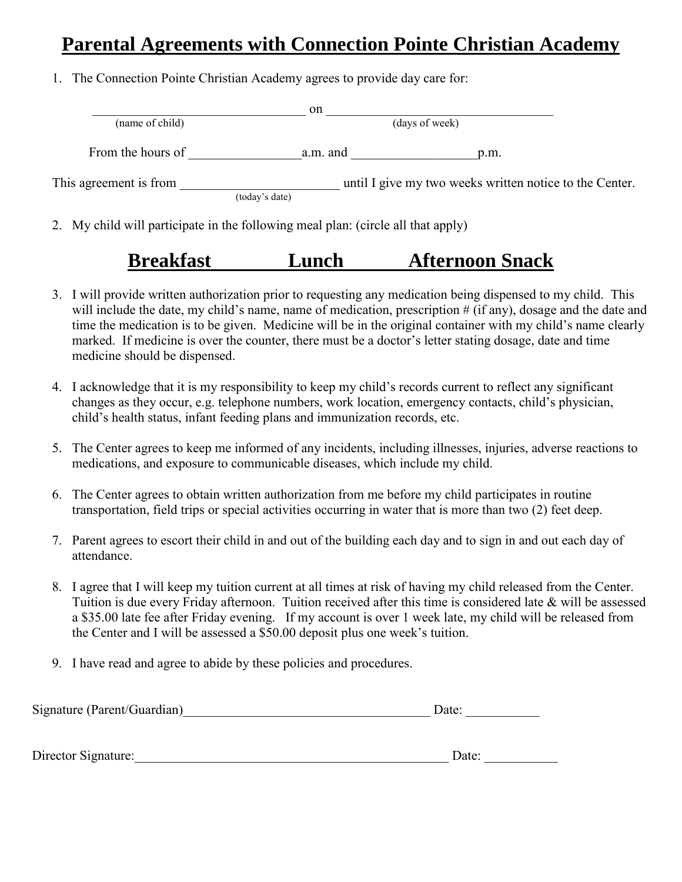#### **Parental Agreements with Connection Pointe Christian Academy**

1. The Connection Pointe Christian Academy agrees to provide day care for:

|                        | on             |                                                         |  |
|------------------------|----------------|---------------------------------------------------------|--|
| (name of child)        |                | (days of week)                                          |  |
| From the hours of      | a.m. and       | p.m.                                                    |  |
| This agreement is from |                | until I give my two weeks written notice to the Center. |  |
|                        | (today's date) |                                                         |  |

2. My child will participate in the following meal plan: (circle all that apply)

### **Breakfast Lunch Afternoon Snack**

- 3. I will provide written authorization prior to requesting any medication being dispensed to my child. This will include the date, my child's name, name of medication, prescription # (if any), dosage and the date and time the medication is to be given. Medicine will be in the original container with my child's name clearly marked. If medicine is over the counter, there must be a doctor's letter stating dosage, date and time medicine should be dispensed.
- 4. I acknowledge that it is my responsibility to keep my child's records current to reflect any significant changes as they occur, e.g. telephone numbers, work location, emergency contacts, child's physician, child's health status, infant feeding plans and immunization records, etc.
- 5. The Center agrees to keep me informed of any incidents, including illnesses, injuries, adverse reactions to medications, and exposure to communicable diseases, which include my child.
- 6. The Center agrees to obtain written authorization from me before my child participates in routine transportation, field trips or special activities occurring in water that is more than two (2) feet deep.
- 7. Parent agrees to escort their child in and out of the building each day and to sign in and out each day of attendance.
- 8. I agree that I will keep my tuition current at all times at risk of having my child released from the Center. Tuition is due every Friday afternoon. Tuition received after this time is considered late & will be assessed a \$35.00 late fee after Friday evening. If my account is over 1 week late, my child will be released from the Center and I will be assessed a \$50.00 deposit plus one week's tuition.
- 9. I have read and agree to abide by these policies and procedures.

| Signature (Parent/Guardian) | Date <sup>-</sup> |
|-----------------------------|-------------------|
|-----------------------------|-------------------|

Director Signature:\_\_\_\_\_\_\_\_\_\_\_\_\_\_\_\_\_\_\_\_\_\_\_\_\_\_\_\_\_\_\_\_\_\_\_\_\_\_\_\_\_\_\_\_\_\_\_ Date: \_\_\_\_\_\_\_\_\_\_\_